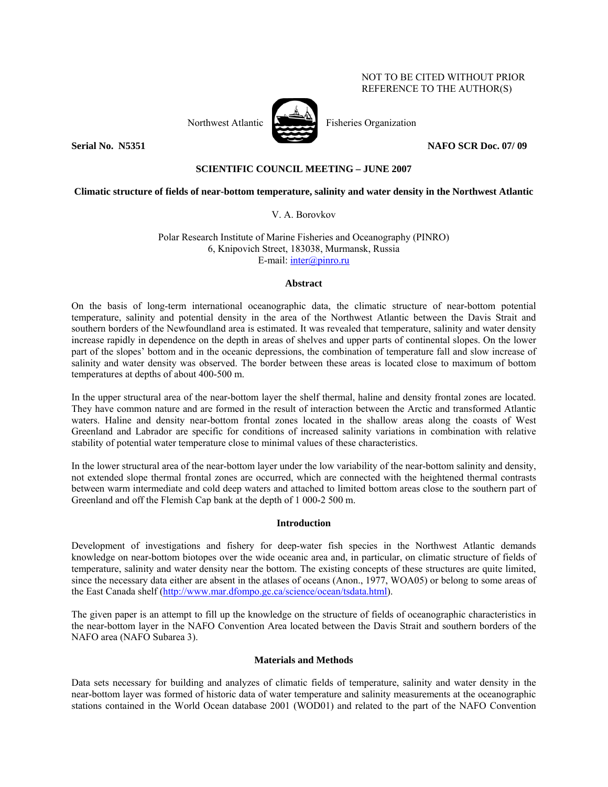# NOT TO BE CITED WITHOUT PRIOR REFERENCE TO THE AUTHOR(S)



Northwest Atlantic **Northuset Atlantic** Fisheries Organization

**Serial No. N5351 NAFO SCR Doc. 07/ 09** 

# **SCIENTIFIC COUNCIL MEETING – JUNE 2007**

# **Climatic structure of fields of near-bottom temperature, salinity and water density in the Northwest Atlantic**

V. A. Borovkov

Polar Research Institute of Marine Fisheries and Oceanography (PINRO) 6, Knipovich Street, 183038, Murmansk, Russia E-mail: inter@pinro.ru

#### **Abstract**

On the basis of long-term international oceanographic data, the climatic structure of near-bottom potential temperature, salinity and potential density in the area of the Northwest Atlantic between the Davis Strait and southern borders of the Newfoundland area is estimated. It was revealed that temperature, salinity and water density increase rapidly in dependence on the depth in areas of shelves and upper parts of continental slopes. On the lower part of the slopes' bottom and in the oceanic depressions, the combination of temperature fall and slow increase of salinity and water density was observed. The border between these areas is located close to maximum of bottom temperatures at depths of about 400-500 m.

In the upper structural area of the near-bottom layer the shelf thermal, haline and density frontal zones are located. They have common nature and are formed in the result of interaction between the Arctic and transformed Atlantic waters. Haline and density near-bottom frontal zones located in the shallow areas along the coasts of West Greenland and Labrador are specific for conditions of increased salinity variations in combination with relative stability of potential water temperature close to minimal values of these characteristics.

In the lower structural area of the near-bottom layer under the low variability of the near-bottom salinity and density, not extended slope thermal frontal zones are occurred, which are connected with the heightened thermal contrasts between warm intermediate and cold deep waters and attached to limited bottom areas close to the southern part of Greenland and off the Flemish Cap bank at the depth of 1 000-2 500 m.

## **Introduction**

Development of investigations and fishery for deep-water fish species in the Northwest Atlantic demands knowledge on near-bottom biotopes over the wide oceanic area and, in particular, on climatic structure of fields of temperature, salinity and water density near the bottom. The existing concepts of these structures are quite limited, since the necessary data either are absent in the atlases of oceans (Anon., 1977, WOA05) or belong to some areas of the East Canada shelf (http://www.mar.dfompo.gc.ca/science/ocean/tsdata.html).

The given paper is an attempt to fill up the knowledge on the structure of fields of oceanographic characteristics in the near-bottom layer in the NAFO Convention Area located between the Davis Strait and southern borders of the NAFO area (NAFO Subarea 3).

## **Materials and Methods**

Data sets necessary for building and analyzes of climatic fields of temperature, salinity and water density in the near-bottom layer was formed of historic data of water temperature and salinity measurements at the oceanographic stations contained in the World Ocean database 2001 (WOD01) and related to the part of the NAFO Convention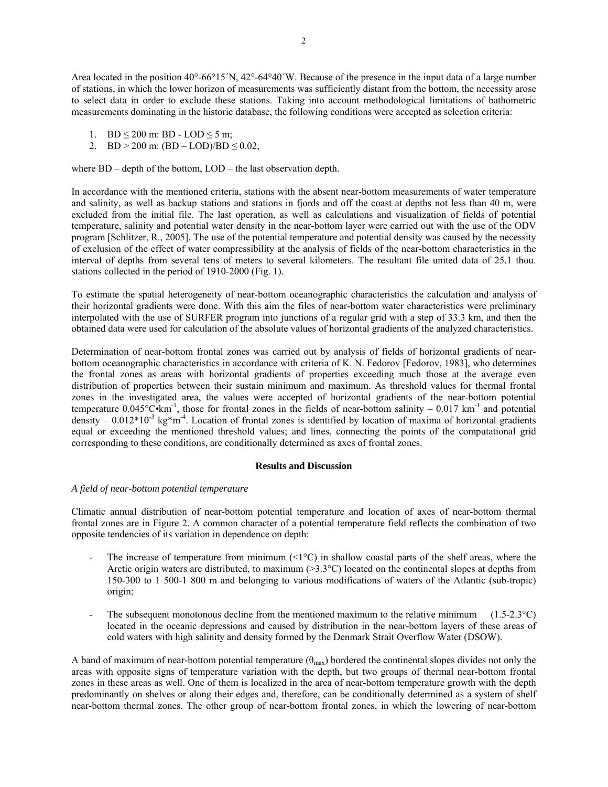Area located in the position  $40^{\circ}$ -66°15´N,  $42^{\circ}$ -64°40´W. Because of the presence in the input data of a large number of stations, in which the lower horizon of measurements was sufficiently distant from the bottom, the necessity arose to select data in order to exclude these stations. Taking into account methodological limitations of bathometric measurements dominating in the historic database, the following conditions were accepted as selection criteria:

- 1. BD < 200 m: BD LOD < 5 m:
- 2. BD > 200 m:  $(BD LOD)/BD \le 0.02$ ,

where BD – depth of the bottom, LOD – the last observation depth.

In accordance with the mentioned criteria, stations with the absent near-bottom measurements of water temperature and salinity, as well as backup stations and stations in fjords and off the coast at depths not less than 40 m, were excluded from the initial file. The last operation, as well as calculations and visualization of fields of potential temperature, salinity and potential water density in the near-bottom layer were carried out with the use of the ODV program [Schlitzer, R., 2005]. The use of the potential temperature and potential density was caused by the necessity of exclusion of the effect of water compressibility at the analysis of fields of the near-bottom characteristics in the interval of depths from several tens of meters to several kilometers. The resultant file united data of 25.1 thou. stations collected in the period of 1910-2000 (Fig. 1).

To estimate the spatial heterogeneity of near-bottom oceanographic characteristics the calculation and analysis of their horizontal gradients were done. With this aim the files of near-bottom water characteristics were preliminary interpolated with the use of SURFER program into junctions of a regular grid with a step of 33.3 km, and then the obtained data were used for calculation of the absolute values of horizontal gradients of the analyzed characteristics.

Determination of near-bottom frontal zones was carried out by analysis of fields of horizontal gradients of nearbottom oceanographic characteristics in accordance with criteria of K. N. Fedorov [Fedorov, 1983], who determines the frontal zones as areas with horizontal gradients of properties exceeding much those at the average even distribution of properties between their sustain minimum and maximum. As threshold values for thermal frontal zones in the investigated area, the values were accepted of horizontal gradients of the near-bottom potential temperature  $0.045^{\circ}$ C•km<sup>-1</sup>, those for frontal zones in the fields of near-bottom salinity – 0.017 km<sup>-1</sup> and potential density –  $0.012*10^{-3}$  kg\*m<sup>-4</sup>. Location of frontal zones is identified by location of maxima of horizontal gradients equal or exceeding the mentioned threshold values; and lines, connecting the points of the computational grid corresponding to these conditions, are conditionally determined as axes of frontal zones.

#### **Results and Discussion**

## *A field of near-bottom potential temperature*

Climatic annual distribution of near-bottom potential temperature and location of axes of near-bottom thermal frontal zones are in Figure 2. A common character of a potential temperature field reflects the combination of two opposite tendencies of its variation in dependence on depth:

- The increase of temperature from minimum  $\langle 1^{\circ}C \rangle$  in shallow coastal parts of the shelf areas, where the Arctic origin waters are distributed, to maximum  $(>3.3^{\circ}C)$  located on the continental slopes at depths from 150-300 to 1 500-1 800 m and belonging to various modifications of waters of the Atlantic (sub-tropic) origin;
- The subsequent monotonous decline from the mentioned maximum to the relative minimum  $(1.5-2.3\textdegree C)$ located in the oceanic depressions and caused by distribution in the near-bottom layers of these areas of cold waters with high salinity and density formed by the Denmark Strait Overflow Water (DSOW).

A band of maximum of near-bottom potential temperature  $(\theta_{max})$  bordered the continental slopes divides not only the areas with opposite signs of temperature variation with the depth, but two groups of thermal near-bottom frontal zones in these areas as well. One of them is localized in the area of near-bottom temperature growth with the depth predominantly on shelves or along their edges and, therefore, can be conditionally determined as a system of shelf near-bottom thermal zones. The other group of near-bottom frontal zones, in which the lowering of near-bottom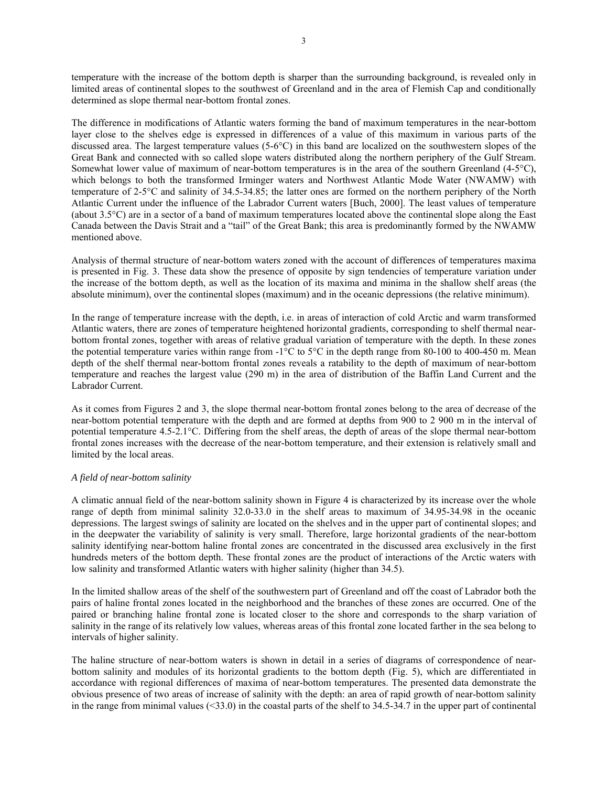temperature with the increase of the bottom depth is sharper than the surrounding background, is revealed only in limited areas of continental slopes to the southwest of Greenland and in the area of Flemish Cap and conditionally determined as slope thermal near-bottom frontal zones.

The difference in modifications of Atlantic waters forming the band of maximum temperatures in the near-bottom layer close to the shelves edge is expressed in differences of a value of this maximum in various parts of the discussed area. The largest temperature values (5-6°C) in this band are localized on the southwestern slopes of the Great Bank and connected with so called slope waters distributed along the northern periphery of the Gulf Stream. Somewhat lower value of maximum of near-bottom temperatures is in the area of the southern Greenland (4-5°C), which belongs to both the transformed Irminger waters and Northwest Atlantic Mode Water (NWAMW) with temperature of 2-5°C and salinity of 34.5-34.85; the latter ones are formed on the northern periphery of the North Atlantic Current under the influence of the Labrador Current waters [Buch, 2000]. The least values of temperature (about 3.5°C) are in a sector of a band of maximum temperatures located above the continental slope along the East Canada between the Davis Strait and a "tail" of the Great Bank; this area is predominantly formed by the NWAMW mentioned above.

Analysis of thermal structure of near-bottom waters zoned with the account of differences of temperatures maxima is presented in Fig. 3. These data show the presence of opposite by sign tendencies of temperature variation under the increase of the bottom depth, as well as the location of its maxima and minima in the shallow shelf areas (the absolute minimum), over the continental slopes (maximum) and in the oceanic depressions (the relative minimum).

In the range of temperature increase with the depth, i.e. in areas of interaction of cold Arctic and warm transformed Atlantic waters, there are zones of temperature heightened horizontal gradients, corresponding to shelf thermal nearbottom frontal zones, together with areas of relative gradual variation of temperature with the depth. In these zones the potential temperature varies within range from  $-1^{\circ}C$  to 5°C in the depth range from 80-100 to 400-450 m. Mean depth of the shelf thermal near-bottom frontal zones reveals a ratability to the depth of maximum of near-bottom temperature and reaches the largest value (290 m) in the area of distribution of the Baffin Land Current and the Labrador Current.

As it comes from Figures 2 and 3, the slope thermal near-bottom frontal zones belong to the area of decrease of the near-bottom potential temperature with the depth and are formed at depths from 900 to 2 900 m in the interval of potential temperature 4.5-2.1°C. Differing from the shelf areas, the depth of areas of the slope thermal near-bottom frontal zones increases with the decrease of the near-bottom temperature, and their extension is relatively small and limited by the local areas.

## *A field of near-bottom salinity*

A climatic annual field of the near-bottom salinity shown in Figure 4 is characterized by its increase over the whole range of depth from minimal salinity 32.0-33.0 in the shelf areas to maximum of 34.95-34.98 in the oceanic depressions. The largest swings of salinity are located on the shelves and in the upper part of continental slopes; and in the deepwater the variability of salinity is very small. Therefore, large horizontal gradients of the near-bottom salinity identifying near-bottom haline frontal zones are concentrated in the discussed area exclusively in the first hundreds meters of the bottom depth. These frontal zones are the product of interactions of the Arctic waters with low salinity and transformed Atlantic waters with higher salinity (higher than 34.5).

In the limited shallow areas of the shelf of the southwestern part of Greenland and off the coast of Labrador both the pairs of haline frontal zones located in the neighborhood and the branches of these zones are occurred. One of the paired or branching haline frontal zone is located closer to the shore and corresponds to the sharp variation of salinity in the range of its relatively low values, whereas areas of this frontal zone located farther in the sea belong to intervals of higher salinity.

The haline structure of near-bottom waters is shown in detail in a series of diagrams of correspondence of nearbottom salinity and modules of its horizontal gradients to the bottom depth (Fig. 5), which are differentiated in accordance with regional differences of maxima of near-bottom temperatures. The presented data demonstrate the obvious presence of two areas of increase of salinity with the depth: an area of rapid growth of near-bottom salinity in the range from minimal values  $(\leq 33.0)$  in the coastal parts of the shelf to 34.5-34.7 in the upper part of continental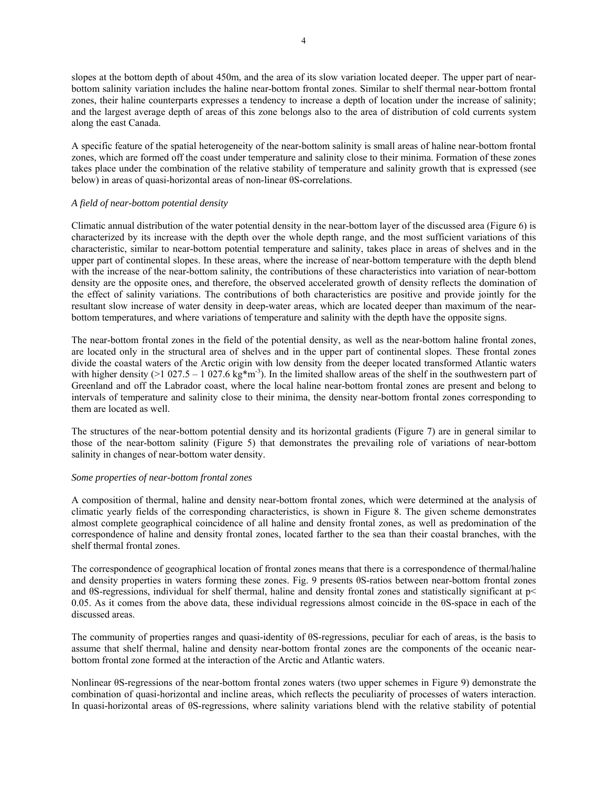slopes at the bottom depth of about 450m, and the area of its slow variation located deeper. The upper part of nearbottom salinity variation includes the haline near-bottom frontal zones. Similar to shelf thermal near-bottom frontal zones, their haline counterparts expresses a tendency to increase a depth of location under the increase of salinity; and the largest average depth of areas of this zone belongs also to the area of distribution of cold currents system along the east Canada.

A specific feature of the spatial heterogeneity of the near-bottom salinity is small areas of haline near-bottom frontal zones, which are formed off the coast under temperature and salinity close to their minima. Formation of these zones takes place under the combination of the relative stability of temperature and salinity growth that is expressed (see below) in areas of quasi-horizontal areas of non-linear θS-correlations.

## *A field of near-bottom potential density*

Climatic annual distribution of the water potential density in the near-bottom layer of the discussed area (Figure 6) is characterized by its increase with the depth over the whole depth range, and the most sufficient variations of this characteristic, similar to near-bottom potential temperature and salinity, takes place in areas of shelves and in the upper part of continental slopes. In these areas, where the increase of near-bottom temperature with the depth blend with the increase of the near-bottom salinity, the contributions of these characteristics into variation of near-bottom density are the opposite ones, and therefore, the observed accelerated growth of density reflects the domination of the effect of salinity variations. The contributions of both characteristics are positive and provide jointly for the resultant slow increase of water density in deep-water areas, which are located deeper than maximum of the nearbottom temperatures, and where variations of temperature and salinity with the depth have the opposite signs.

The near-bottom frontal zones in the field of the potential density, as well as the near-bottom haline frontal zones, are located only in the structural area of shelves and in the upper part of continental slopes. These frontal zones divide the coastal waters of the Arctic origin with low density from the deeper located transformed Atlantic waters with higher density (>1 027.5 – 1 027.6 kg\*m<sup>-3</sup>). In the limited shallow areas of the shelf in the southwestern part of Greenland and off the Labrador coast, where the local haline near-bottom frontal zones are present and belong to intervals of temperature and salinity close to their minima, the density near-bottom frontal zones corresponding to them are located as well.

The structures of the near-bottom potential density and its horizontal gradients (Figure 7) are in general similar to those of the near-bottom salinity (Figure 5) that demonstrates the prevailing role of variations of near-bottom salinity in changes of near-bottom water density.

## *Some properties of near-bottom frontal zones*

A composition of thermal, haline and density near-bottom frontal zones, which were determined at the analysis of climatic yearly fields of the corresponding characteristics, is shown in Figure 8. The given scheme demonstrates almost complete geographical coincidence of all haline and density frontal zones, as well as predomination of the correspondence of haline and density frontal zones, located farther to the sea than their coastal branches, with the shelf thermal frontal zones.

The correspondence of geographical location of frontal zones means that there is a correspondence of thermal/haline and density properties in waters forming these zones. Fig. 9 presents θS-ratios between near-bottom frontal zones and θS-regressions, individual for shelf thermal, haline and density frontal zones and statistically significant at p< 0.05. As it comes from the above data, these individual regressions almost coincide in the θS-space in each of the discussed areas.

The community of properties ranges and quasi-identity of θS-regressions, peculiar for each of areas, is the basis to assume that shelf thermal, haline and density near-bottom frontal zones are the components of the oceanic nearbottom frontal zone formed at the interaction of the Arctic and Atlantic waters.

Nonlinear θS-regressions of the near-bottom frontal zones waters (two upper schemes in Figure 9) demonstrate the combination of quasi-horizontal and incline areas, which reflects the peculiarity of processes of waters interaction. In quasi-horizontal areas of θS-regressions, where salinity variations blend with the relative stability of potential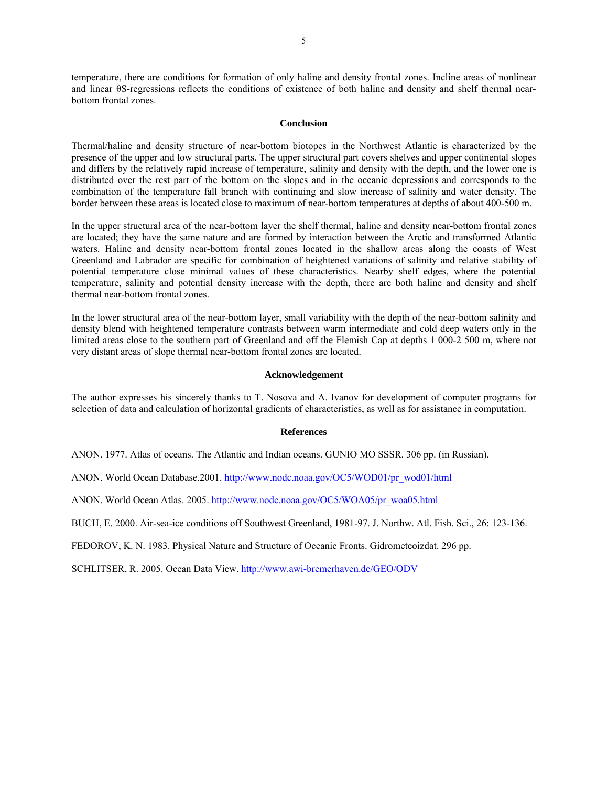temperature, there are conditions for formation of only haline and density frontal zones. Incline areas of nonlinear and linear θS-regressions reflects the conditions of existence of both haline and density and shelf thermal nearbottom frontal zones.

#### **Conclusion**

Thermal/haline and density structure of near-bottom biotopes in the Northwest Atlantic is characterized by the presence of the upper and low structural parts. The upper structural part covers shelves and upper continental slopes and differs by the relatively rapid increase of temperature, salinity and density with the depth, and the lower one is distributed over the rest part of the bottom on the slopes and in the oceanic depressions and corresponds to the combination of the temperature fall branch with continuing and slow increase of salinity and water density. The border between these areas is located close to maximum of near-bottom temperatures at depths of about 400-500 m.

In the upper structural area of the near-bottom layer the shelf thermal, haline and density near-bottom frontal zones are located; they have the same nature and are formed by interaction between the Arctic and transformed Atlantic waters. Haline and density near-bottom frontal zones located in the shallow areas along the coasts of West Greenland and Labrador are specific for combination of heightened variations of salinity and relative stability of potential temperature close minimal values of these characteristics. Nearby shelf edges, where the potential temperature, salinity and potential density increase with the depth, there are both haline and density and shelf thermal near-bottom frontal zones.

In the lower structural area of the near-bottom layer, small variability with the depth of the near-bottom salinity and density blend with heightened temperature contrasts between warm intermediate and cold deep waters only in the limited areas close to the southern part of Greenland and off the Flemish Cap at depths 1 000-2 500 m, where not very distant areas of slope thermal near-bottom frontal zones are located.

#### **Acknowledgement**

The author expresses his sincerely thanks to T. Nosova and A. Ivanov for development of computer programs for selection of data and calculation of horizontal gradients of characteristics, as well as for assistance in computation.

#### **References**

ANON. 1977. Atlas of oceans. The Atlantic and Indian oceans. GUNIO MO SSSR. 306 pp. (in Russian).

ANON. World Ocean Database.2001. http://www.nodc.noaa.gov/OC5/WOD01/pr\_wod01/html

ANON. World Ocean Atlas. 2005. http://www.nodc.noaa.gov/OC5/WOA05/pr\_woa05.html

BUCH, E. 2000. Air-sea-ice conditions off Southwest Greenland, 1981-97. J. Northw. Atl. Fish. Sci., 26: 123-136.

FEDOROV, K. N. 1983. Physical Nature and Structure of Oceanic Fronts. Gidrometeoizdat. 296 pp.

SCHLITSER, R. 2005. Ocean Data View. http://www.awi-bremerhaven.de/GEO/ODV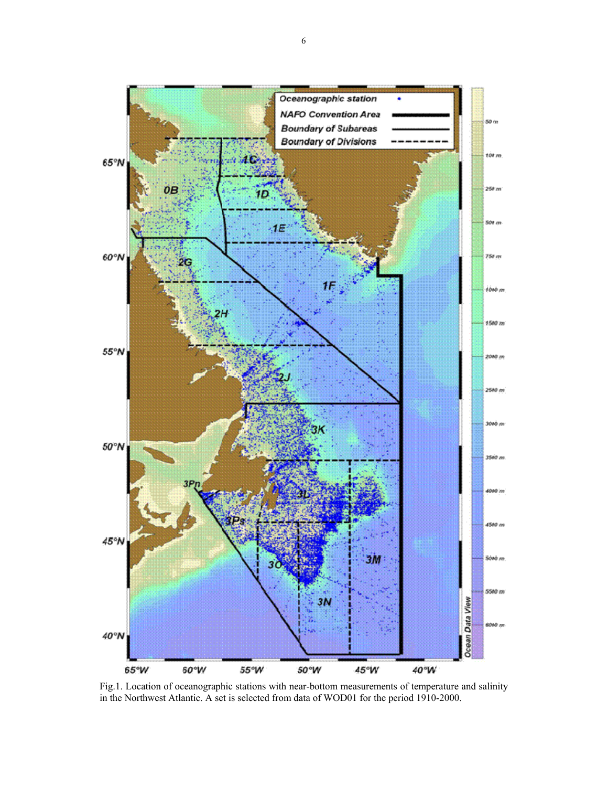

Fig.1. Location of oceanographic stations with near-bottom measurements of temperature and salinity in the Northwest Atlantic. A set is selected from data of WOD01 for the period 1910-2000.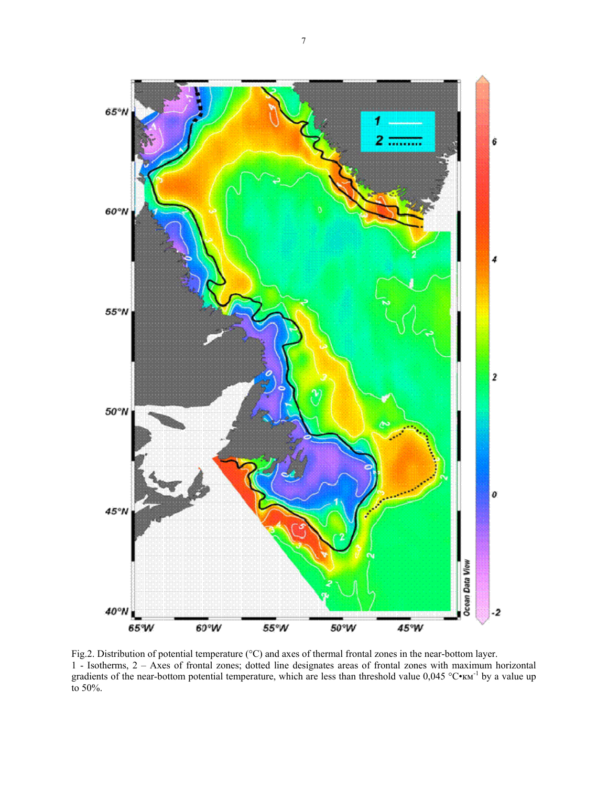

Fig.2. Distribution of potential temperature (°С) and axes of thermal frontal zones in the near-bottom layer. 1 - Isotherms, 2 – Axes of frontal zones; dotted line designates areas of frontal zones with maximum horizontal gradients of the near-bottom potential temperature, which are less than threshold value  $0.045 \degree C \cdot \text{km}^{-1}$  by a value up to 50%.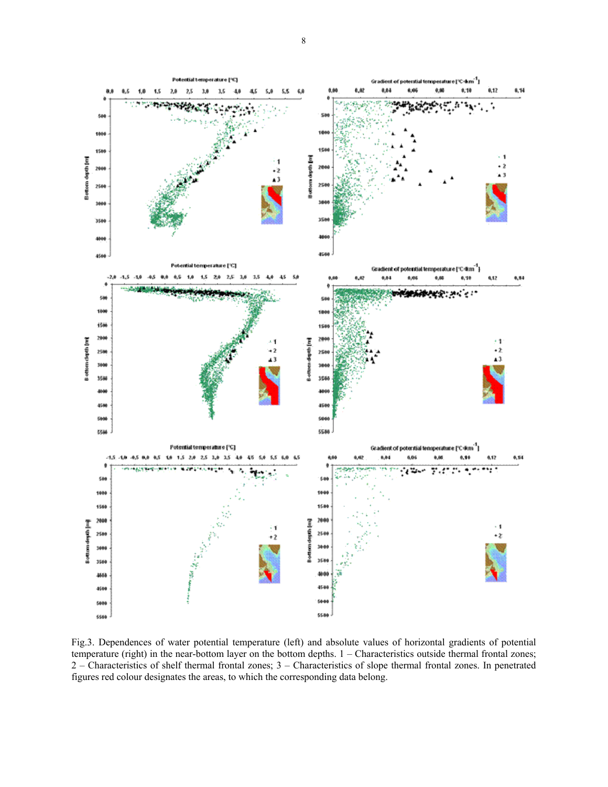

Fig.3. Dependences of water potential temperature (left) and absolute values of horizontal gradients of potential temperature (right) in the near-bottom layer on the bottom depths. 1 – Characteristics outside thermal frontal zones; 2 – Characteristics of shelf thermal frontal zones; 3 – Characteristics of slope thermal frontal zones. In penetrated figures red colour designates the areas, to which the corresponding data belong.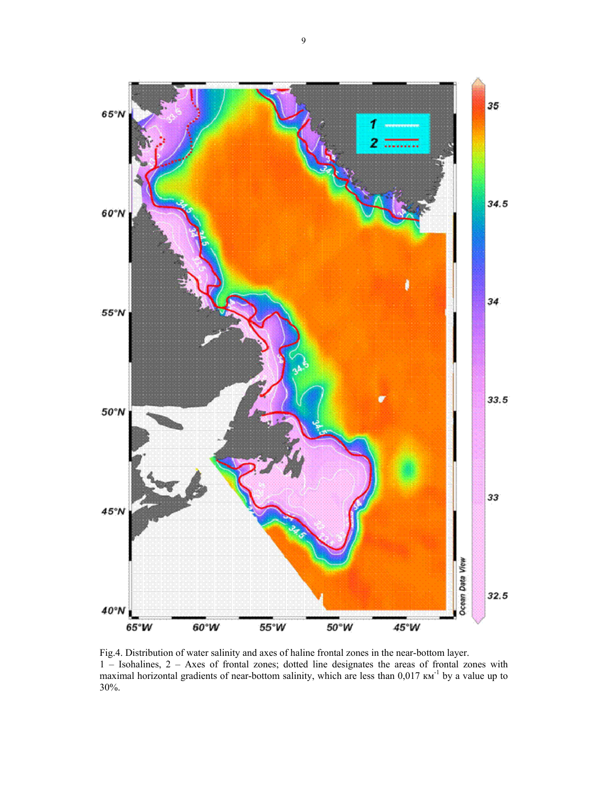

Fig.4. Distribution of water salinity and axes of haline frontal zones in the near-bottom layer. 1 – Isohalines, 2 – Axes of frontal zones; dotted line designates the areas of frontal zones with maximal horizontal gradients of near-bottom salinity, which are less than 0,017  $\text{km}^{-1}$  by a value up to 30%.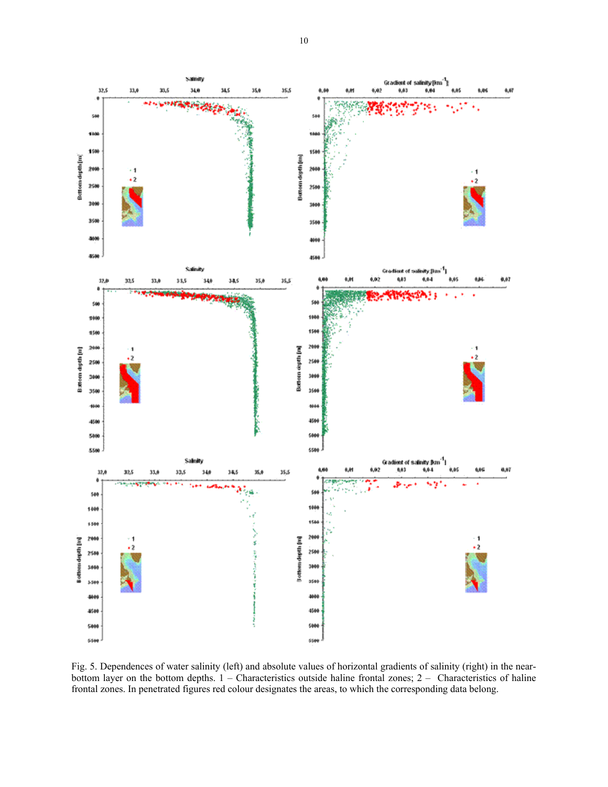

Fig. 5. Dependences of water salinity (left) and absolute values of horizontal gradients of salinity (right) in the nearbottom layer on the bottom depths. 1 – Characteristics outside haline frontal zones; 2 – Characteristics of haline frontal zones. In penetrated figures red colour designates the areas, to which the corresponding data belong.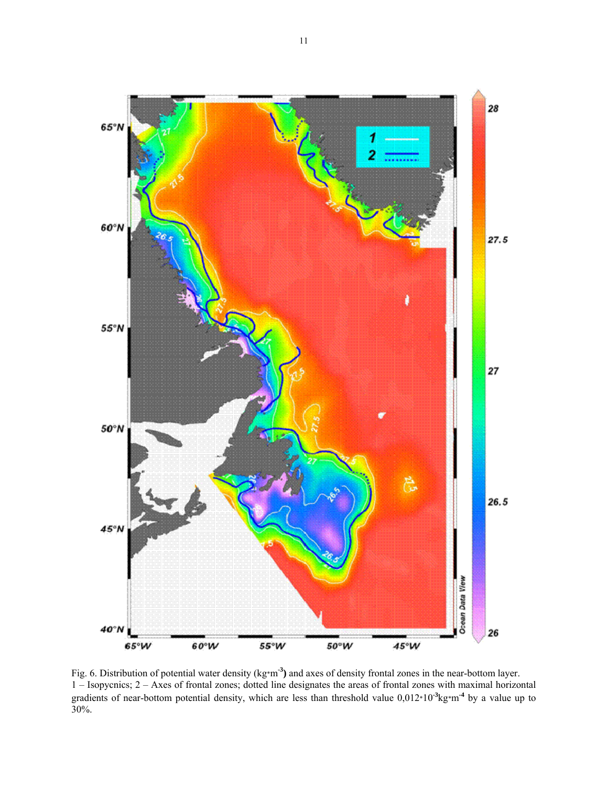

Fig. 6. Distribution of potential water density (kg\*m**-3)** and axes of density frontal zones in the near-bottom layer. 1 – Isopycnics; 2 – Axes of frontal zones; dotted line designates the areas of frontal zones with maximal horizontal gradients of near-bottom potential density, which are less than threshold value 0,012\*10<sup>-3</sup>kg\*m<sup>-4</sup> by a value up to 30%.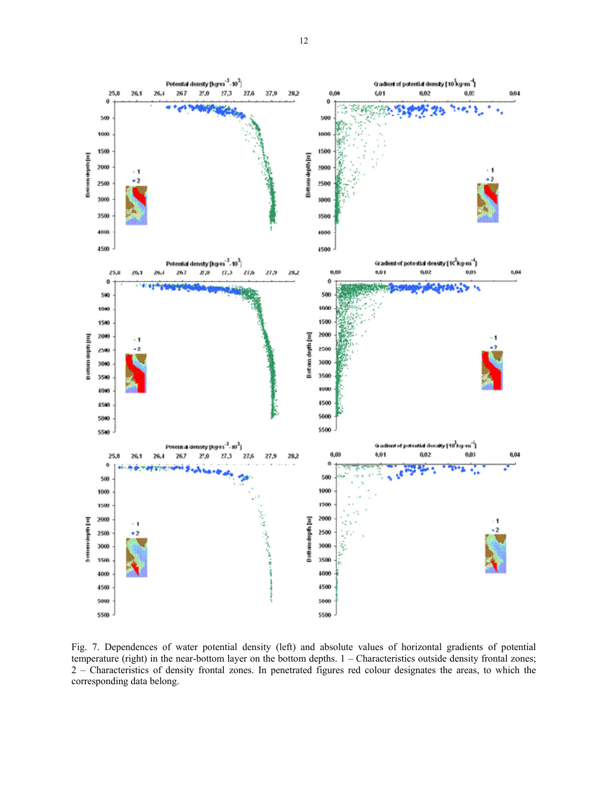

Fig. 7. Dependences of water potential density (left) and absolute values of horizontal gradients of potential temperature (right) in the near-bottom layer on the bottom depths. 1 – Characteristics outside density frontal zones; 2 – Characteristics of density frontal zones. In penetrated figures red colour designates the areas, to which the corresponding data belong.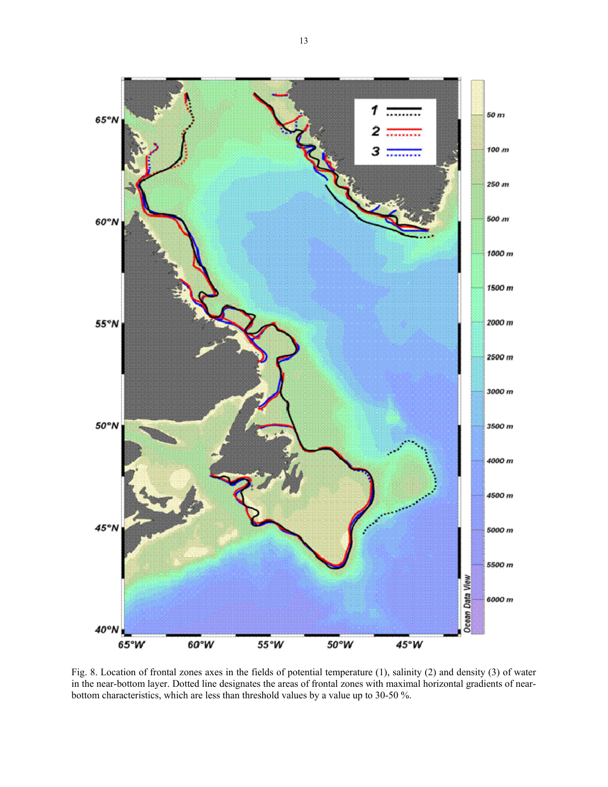

Fig. 8. Location of frontal zones axes in the fields of potential temperature (1), salinity (2) and density (3) of water in the near-bottom layer. Dotted line designates the areas of frontal zones with maximal horizontal gradients of nearbottom characteristics, which are less than threshold values by a value up to 30-50 %.